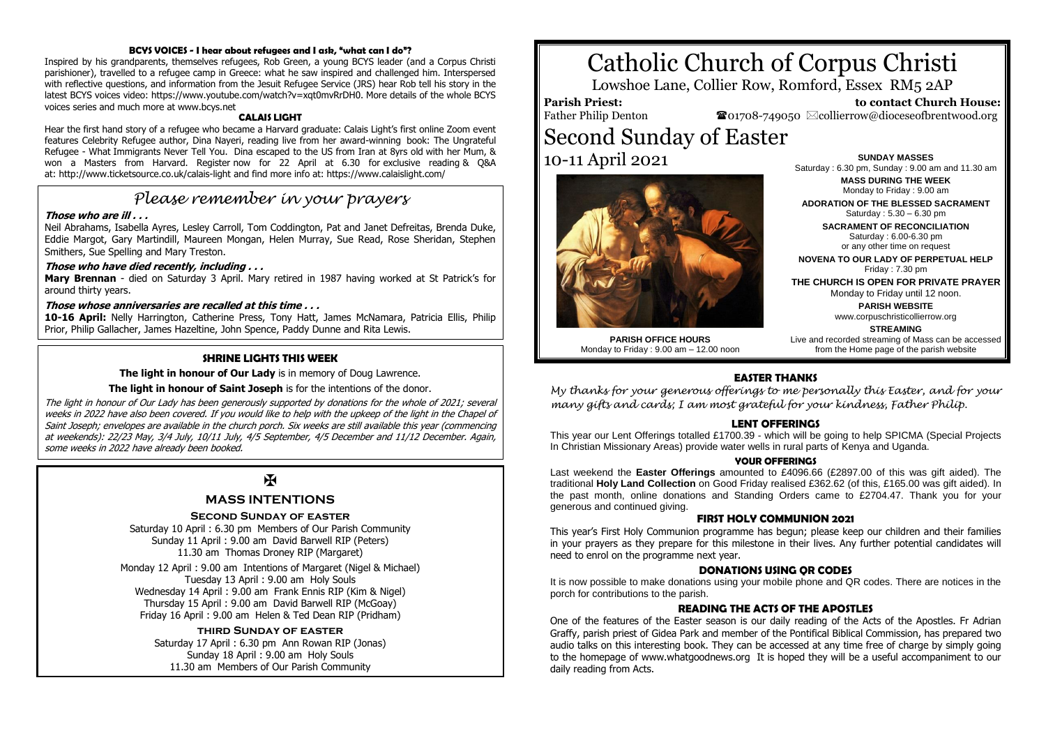#### **BCYS VOICES - I hear about refugees and I ask, "what can I do"?**

Inspired by his grandparents, themselves refugees, Rob Green, a young BCYS leader (and a Corpus Christi parishioner), travelled to a refugee camp in Greece: what he saw inspired and challenged him. Interspersed with reflective questions, and information from the Jesuit Refugee Service (JRS) hear Rob tell his story in the latest BCYS voices video: https://www.youtube.com/watch?v=xqt0mvRrDH0. More details of the whole BCYS voices series and much more at www.bcys.net

#### **CALAIS LIGHT**

Hear the first hand story of a refugee who became a Harvard graduate: Calais Light's first online Zoom event features Celebrity Refugee author, Dina Nayeri, reading live from her award-winning book: The Ungrateful Refugee - What Immigrants Never Tell You. Dina escaped to the US from Iran at 8yrs old with her Mum, & won a Masters from Harvard. Register now for 22 April at 6.30 for exclusive reading & Q&A at: http://www.ticketsource.co.uk/calais-light and find more info at: https://www.calaislight.com/

# *Please remember in your prayers*

#### **Those who are ill . . .**

Neil Abrahams, Isabella Ayres, Lesley Carroll, Tom Coddington, Pat and Janet Defreitas, Brenda Duke, Eddie Margot, Gary Martindill, Maureen Mongan, Helen Murray, Sue Read, Rose Sheridan, Stephen Smithers, Sue Spelling and Mary Treston.

## **Those who have died recently, including . . .**

**Mary Brennan** - died on Saturday 3 April. Mary retired in 1987 having worked at St Patrick's for around thirty years.

## **Those whose anniversaries are recalled at this time . . .**

**10-16 April:** Nelly Harrington, Catherine Press, Tony Hatt, James McNamara, Patricia Ellis, Philip Prior, Philip Gallacher, James Hazeltine, John Spence, Paddy Dunne and Rita Lewis.

## **SHRINE LIGHTS THIS WEEK**

**The light in honour of Our Lady** is in memory of Doug Lawrence.

**The light in honour of Saint Joseph** is for the intentions of the donor.

The light in honour of Our Lady has been generously supported by donations for the whole of 2021; several weeks in 2022 have also been covered. If you would like to help with the upkeep of the light in the Chapel of Saint Joseph; envelopes are available in the church porch. Six weeks are still available this year (commencing at weekends): 22/23 May, 3/4 July, 10/11 July, 4/5 September, 4/5 December and 11/12 December. Again, some weeks in 2022 have already been booked.

# $\mathbf{F}$

# **MASS INTENTIONS**

#### **Second Sunday of easter**

Saturday 10 April : 6.30 pm Members of Our Parish Community Sunday 11 April : 9.00 am David Barwell RIP (Peters) 11.30 am Thomas Droney RIP (Margaret)

Monday 12 April : 9.00 am Intentions of Margaret (Nigel & Michael) Tuesday 13 April : 9.00 am Holy Souls Wednesday 14 April : 9.00 am Frank Ennis RIP (Kim & Nigel) Thursday 15 April : 9.00 am David Barwell RIP (McGoay) Friday 16 April : 9.00 am Helen & Ted Dean RIP (Pridham)

> **third Sunday of easter** Saturday 17 April : 6.30 pm Ann Rowan RIP (Jonas) Sunday 18 April : 9.00 am Holy Souls 11.30 am Members of Our Parish Community

# Catholic Church of Corpus Christi

Lowshoe Lane, Collier Row, Romford, Essex RM5 2AP

**Parish Priest:** Father Philip Denton

 **to contact Church House:**  $\bullet$ 01708-749050  $\boxtimes$ collierrow@dioceseofbrentwood.org

# Second Sunday of Easter 10-11 April 2021



**SUNDAY MASSES** Saturday : 6.30 pm, Sunday : 9.00 am and 11.30 am **MASS DURING THE WEEK** Monday to Friday : 9.00 am

**ADORATION OF THE BLESSED SACRAMENT** Saturday : 5.30 – 6.30 pm **SACRAMENT OF RECONCILIATION** Saturday : 6.00-6.30 pm or any other time on request

**NOVENA TO OUR LADY OF PERPETUAL HELP** Friday : 7.30 pm

**THE CHURCH IS OPEN FOR PRIVATE PRAYER** Monday to Friday until 12 noon.

**PARISH WEBSITE**

www.corpuschristicollierrow.org

**STREAMING**

**PARISH OFFICE HOURS** Monday to Friday : 9.00 am – 12.00 noon Live and recorded streaming of Mass can be accessed from the Home page of the parish website

# **EASTER THANKS**

*My thanks for your generous offerings to me personally this Easter, and for your many gifts and cards; I am most grateful for your kindness, Father Philip.*

#### **LENT OFFERINGS**

This year our Lent Offerings totalled £1700.39 - which will be going to help SPICMA (Special Projects In Christian Missionary Areas) provide water wells in rural parts of Kenya and Uganda.

#### **YOUR OFFERINGS**

Last weekend the **Easter Offerings** amounted to £4096.66 (£2897.00 of this was gift aided). The traditional **Holy Land Collection** on Good Friday realised £362.62 (of this, £165.00 was gift aided). In the past month, online donations and Standing Orders came to £2704.47. Thank you for your generous and continued giving.

# **FIRST HOLY COMMUNION 2021**

This year's First Holy Communion programme has begun; please keep our children and their families in your prayers as they prepare for this milestone in their lives. Any further potential candidates will need to enrol on the programme next year.

# **DONATIONS USING QR CODES**

It is now possible to make donations using your mobile phone and QR codes. There are notices in the porch for contributions to the parish.

# **READING THE ACTS OF THE APOSTLES**

One of the features of the Easter season is our daily reading of the Acts of the Apostles. Fr Adrian Graffy, parish priest of Gidea Park and member of the Pontifical Biblical Commission, has prepared two audio talks on this interesting book. They can be accessed at any time free of charge by simply going to the homepage of www.whatgoodnews.org It is hoped they will be a useful accompaniment to our daily reading from Acts.